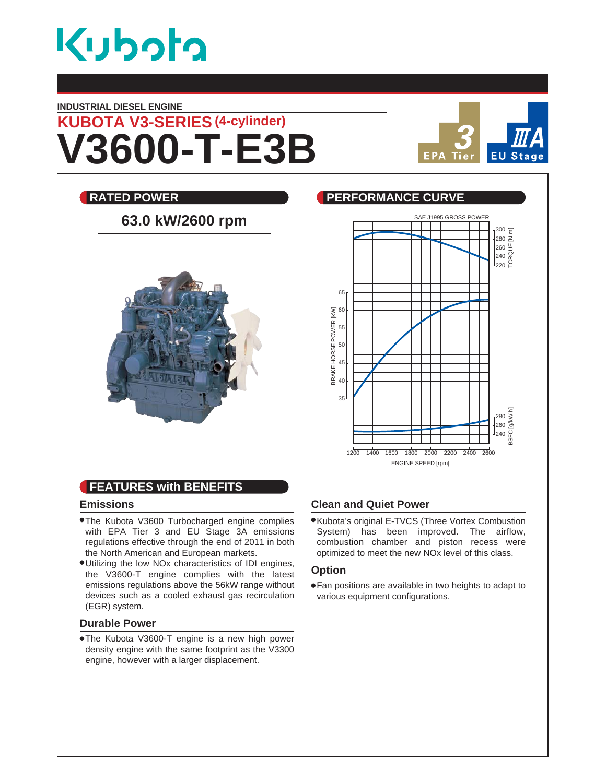

### **INDUSTRIAL DIESEL ENGINE**

**V3600-T-E3B KUBOTA V3-SERIES (4-cylinder)**



# **RATED POWER CURVE REALLY BEEN PERFORMANCE CURVE** 63.0 kW/2600 rpm



### **FEATURES with BENEFITS**

### **Emissions**

- The Kubota V3600 Turbocharged engine complies with EPA Tier 3 and EU Stage 3A emissions regulations effective through the end of 2011 in both the North American and European markets.
- Utilizing the low NOx characteristics of IDI engines, the V3600-T engine complies with the latest emissions regulations above the 56kW range without devices such as a cooled exhaust gas recirculation (EGR) system.

### **Durable Power**

The Kubota V3600-T engine is a new high power density engine with the same footprint as the V3300 engine, however with a larger displacement.

### **Clean and Quiet Power**

Kubota's original E-TVCS (Three Vortex Combustion System) has been improved. The airflow, combustion chamber and piston recess were optimized to meet the new NOx level of this class.

### **Option**

Fan positions are available in two heights to adapt to various equipment configurations.